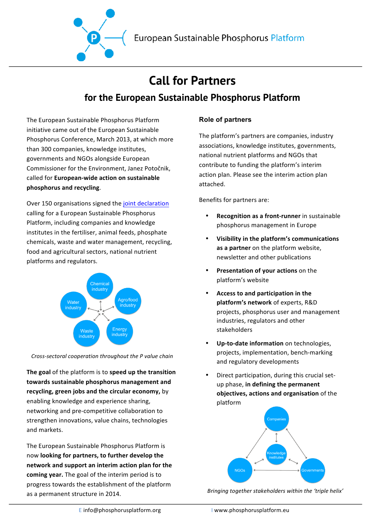

# **Call for Partners for the European Sustainable Phosphorus Platform**

The European Sustainable Phosphorus Platform initiative came out of the European Sustainable Phosphorus Conference, March 2013, at which more than 300 companies, knowledge institutes, governments and NGOs alongside European Commissioner for the Environment, Janez Potočnik, called for **European-wide action on sustainable phosphorus and recycling**.

Over 150 organisations signed the joint declaration calling for a European Sustainable Phosphorus Platform, including companies and knowledge institutes in the fertiliser, animal feeds, phosphate chemicals, waste and water management, recycling, food and agricultural sectors, national nutrient platforms and regulators.



*Cross-sectoral cooperation throughout the P value chain*

**The goal** of the platform is to **speed up** the transition towards sustainable phosphorus management and recycling, green jobs and the circular economy, by enabling knowledge and experience sharing, networking and pre-competitive collaboration to strengthen innovations, value chains, technologies and markets.

The European Sustainable Phosphorus Platform is now looking for partners, to further develop the **network and support an interim action plan for the** coming year. The goal of the interim period is to progress towards the establishment of the platform as a permanent structure in 2014.

### **Role of partners**

The platform's partners are companies, industry associations, knowledge institutes, governments, national nutrient platforms and NGOs that contribute to funding the platform's interim action plan. Please see the interim action plan attached.

Benefits for partners are:

- **Recognition as a front-runner** in sustainable phosphorus management in Europe
- Visibility in the platform's communications **as a partner** on the platform website, newsletter and other publications
- **Presentation of your actions** on the platform's website
- Access to and participation in the **platform's network** of experts, R&D projects, phosphorus user and management industries, regulators and other stakeholders
- **Up-to-date information** on technologies, projects, implementation, bench-marking and regulatory developments
- Direct participation, during this crucial setup phase, in defining the permanent **objectives, actions and organisation** of the platform



Bringing together stakeholders within the 'triple helix'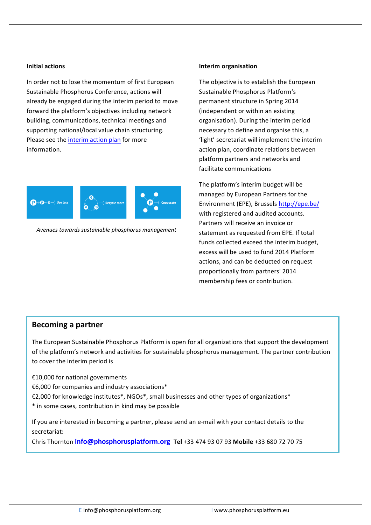#### **Initial actions**

In order not to lose the momentum of first European Sustainable Phosphorus Conference, actions will already be engaged during the interim period to move forward the platform's objectives including network building, communications, technical meetings and supporting national/local value chain structuring. Please see the interim action plan for more information.



Avenues towards sustainable phosphorus management

#### **Interim organisation**

The objective is to establish the European Sustainable Phosphorus Platform's permanent structure in Spring 2014 (independent or within an existing organisation). During the interim period necessary to define and organise this, a 'light' secretariat will implement the interim action plan, coordinate relations between platform partners and networks and facilitate communications 

The platform's interim budget will be managed by European Partners for the Environment (EPE), Brussels [http://epe.be/](http://epe.be) with registered and audited accounts. Partners will receive an invoice or statement as requested from EPE. If total funds collected exceed the interim budget, excess will be used to fund 2014 Platform actions, and can be deducted on request proportionally from partners' 2014 membership fees or contribution.

### **Becoming a partner**

The European Sustainable Phosphorus Platform is open for all organizations that support the development of the platform's network and activities for sustainable phosphorus management. The partner contribution to cover the interim period is

€10,000 for national governments

€6,000 for companies and industry associations\*

€2,000 for knowledge institutes\*, NGOs\*, small businesses and other types of organizations\*

\* in some cases, contribution in kind may be possible

If you are interested in becoming a partner, please send an e-mail with your contact details to the secretariat: 

Chris Thornton **[info@phosphorusplatform.org](mailto:info@phosphorusplatform.org) Tel** +33 474 93 07 93 **Mobile** +33 680 72 70 75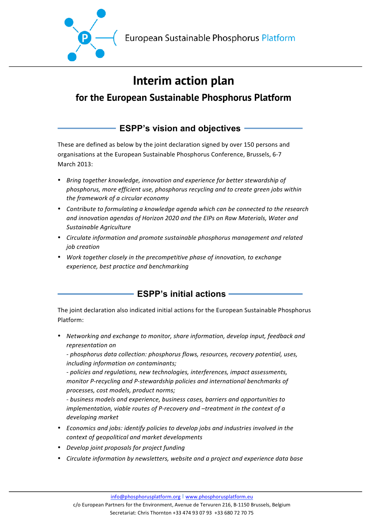

# **Interim action plan**

## **for the European Sustainable Phosphorus Platform**

## **ESPP's vision and objectives**

These are defined as below by the joint declaration signed by over 150 persons and organisations at the European Sustainable Phosphorus Conference, Brussels, 6-7 March 2013:

- Bring together knowledge, innovation and experience for better stewardship of *phosphorus, more efficient use, phosphorus recycling and to create green jobs within the framework of a circular economy*
- Contribute to formulating a knowledge agenda which can be connected to the research and innovation agendas of Horizon 2020 and the EIPs on Raw Materials, Water and *Sustainable Agriculture*
- Circulate information and promote sustainable phosphorus management and related *job creation*
- Work together closely in the precompetitive phase of innovation, to exchange *experience, best practice and benchmarking*

## **ESPP's initial actions**

The joint declaration also indicated initial actions for the European Sustainable Phosphorus Platform:

• *Networking and exchange to monitor, share information, develop input, feedback and representation on*

- phosphorus data collection: phosphorus flows, resources, recovery potential, uses, *including information on contaminants;*

*- policies and regulations, new technologies, interferences, impact assessments, monitor* P-recycling and P-stewardship policies and international benchmarks of *processes, cost models, product norms;*

*- business models and experience, business cases, barriers and opportunities to implementation, viable routes of P-recovery and -treatment in the context of a developing market*

- *Economics and jobs: identify policies to develop jobs and industries involved in the context of geopolitical and market developments*
- *Develop joint proposals for project funding*
- *Circulate information by newsletters, website and a project and experience data base*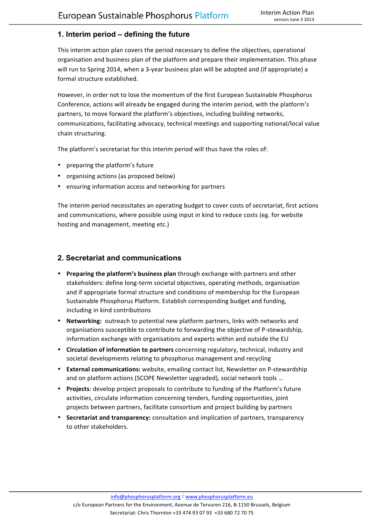### **1. Interim period – defining the future**

This interim action plan covers the period necessary to define the objectives, operational organisation and business plan of the platform and prepare their implementation. This phase will run to Spring 2014, when a 3-year business plan will be adopted and (if appropriate) a formal structure established.

However, in order not to lose the momentum of the first European Sustainable Phosphorus Conference, actions will already be engaged during the interim period, with the platform's partners, to move forward the platform's objectives, including building networks, communications, facilitating advocacy, technical meetings and supporting national/local value chain structuring.

The platform's secretariat for this interim period will thus have the roles of:

- preparing the platform's future
- organising actions (as proposed below)
- ensuring information access and networking for partners

The interim period necessitates an operating budget to cover costs of secretariat, first actions and communications, where possible using input in kind to reduce costs (eg. for website hosting and management, meeting etc.)

### **2. Secretariat and communications**

- **Preparing the platform's business plan** through exchange with partners and other stakeholders: define long-term societal objectives, operating methods, organisation and if appropriate formal structure and conditions of membership for the European Sustainable Phosphorus Platform. Establish corresponding budget and funding, including in kind contributions
- Networking: outreach to potential new platform partners, links with networks and organisations susceptible to contribute to forwarding the objective of P-stewardship, information exchange with organisations and experts within and outside the EU
- **Circulation of information to partners** concerning regulatory, technical, industry and societal developments relating to phosphorus management and recycling
- External communications: website, emailing contact list, Newsletter on P-stewardship and on platform actions (SCOPE Newsletter upgraded), social network tools ...
- **Projects**: develop project proposals to contribute to funding of the Platform's future activities, circulate information concerning tenders, funding opportunities, joint projects between partners, facilitate consortium and project building by partners
- **Secretariat and transparency:** consultation and implication of partners, transparency to other stakeholders.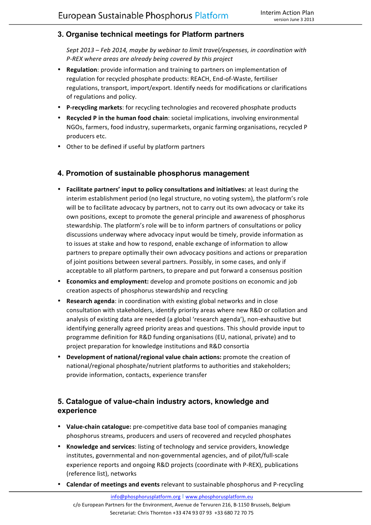### **3. Organise technical meetings for Platform partners**

Sept 2013 – Feb 2014, maybe by webinar to limit travel/expenses, in coordination with *P-REX* where areas are already being covered by this project

- **Regulation**: provide information and training to partners on implementation of regulation for recycled phosphate products: REACH, End-of-Waste, fertiliser regulations, transport, import/export. Identify needs for modifications or clarifications of regulations and policy.
- P-recycling markets: for recycling technologies and recovered phosphate products
- **Recycled P in the human food chain**: societal implications, involving environmental NGOs, farmers, food industry, supermarkets, organic farming organisations, recycled P producers etc.
- Other to be defined if useful by platform partners

### **4. Promotion of sustainable phosphorus management**

- **Facilitate partners' input to policy consultations and initiatives:** at least during the interim establishment period (no legal structure, no voting system), the platform's role will be to facilitate advocacy by partners, not to carry out its own advocacy or take its own positions, except to promote the general principle and awareness of phosphorus stewardship. The platform's role will be to inform partners of consultations or policy discussions underway where advocacy input would be timely, provide information as to issues at stake and how to respond, enable exchange of information to allow partners to prepare optimally their own advocacy positions and actions or preparation of joint positions between several partners. Possibly, in some cases, and only if acceptable to all platform partners, to prepare and put forward a consensus position
- **Economics and employment:** develop and promote positions on economic and job creation aspects of phosphorus stewardship and recycling
- **Research agenda:** in coordination with existing global networks and in close consultation with stakeholders, identify priority areas where new R&D or collation and analysis of existing data are needed (a global 'research agenda'), non-exhaustive but identifying generally agreed priority areas and questions. This should provide input to programme definition for R&D funding organisations (EU, national, private) and to project preparation for knowledge institutions and R&D consortia
- **Development of national/regional value chain actions:** promote the creation of national/regional phosphate/nutrient platforms to authorities and stakeholders; provide information, contacts, experience transfer

### **5. Catalogue of value-chain industry actors, knowledge and experience**

- Value-chain catalogue: pre-competitive data base tool of companies managing phosphorus streams, producers and users of recovered and recycled phosphates
- Knowledge and services: listing of technology and service providers, knowledge institutes, governmental and non-governmental agencies, and of pilot/full-scale experience reports and ongoing R&D projects (coordinate with P-REX), publications (reference list), networks
- **Calendar of meetings and events** relevant to sustainable phosphorus and P-recycling